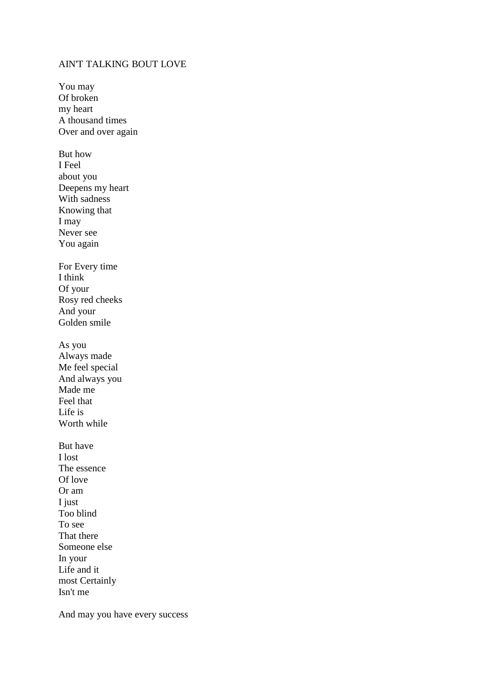## AIN'T TALKING BOUT LOVE

You may Of broken my heart A thousand times Over and over again But how I Feel about you Deepens my heart With sadness Knowing that I may Never see You again For Every time I think Of your Rosy red cheeks And your Golden smile As you Always made Me feel special And always you Made me Feel that Life is Worth while But have I lost The essence Of love Or am I just Too blind To see That there Someone else In your Life and it most Certainly Isn't me

And may you have every success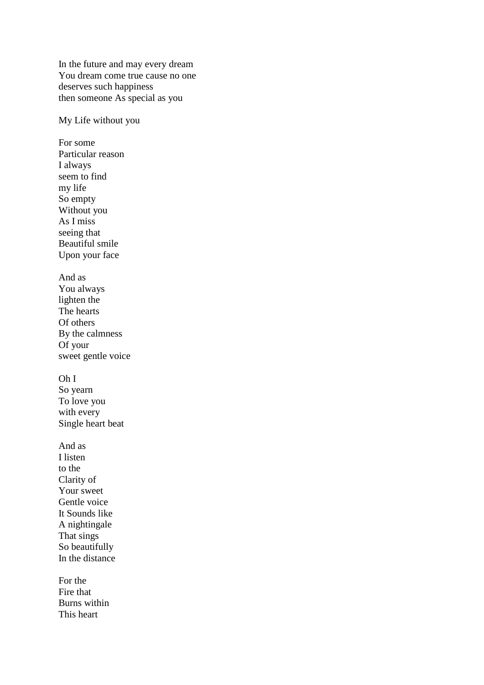In the future and may every dream You dream come true cause no one deserves such happiness then someone As special as you

My Life without you

For some Particular reason I always seem to find my life So empty Without you As I miss seeing that Beautiful smile Upon your face And as You always lighten the The hearts Of others By the calmness Of your sweet gentle voice Oh I So yearn To love you with every Single heart beat And as I listen to the Clarity of Your sweet Gentle voice It Sounds like A nightingale That sings So beautifully In the distance For the Fire that Burns within

This heart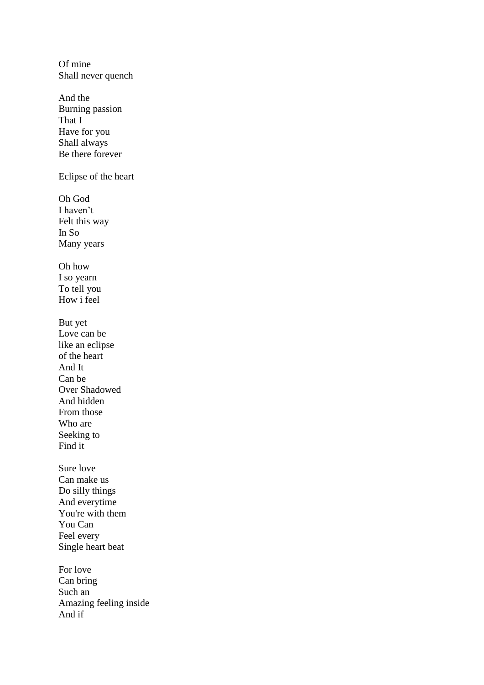Of mine Shall never quench And the Burning passion That I Have for you Shall always Be there forever Eclipse of the heart Oh God I haven't Felt this way In So Many years Oh how I so yearn To tell you How i feel But yet Love can be like an eclipse of the heart And It Can be Over Shadowed And hidden From those Who are Seeking to Find it Sure love Can make us Do silly things And everytime You're with them You Can Feel every Single heart beat For love Can bring Such an Amazing feeling inside And if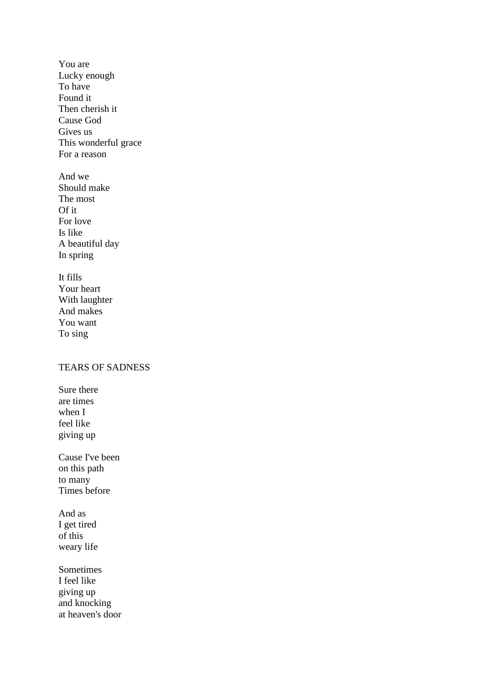You are Lucky enough To have Found it Then cherish it Cause God Gives us This wonderful grace For a reason And we Should make

The most Of it For love Is like A beautiful day In spring

It fills Your heart With laughter And makes You want To sing

## TEARS OF SADNESS

Sure there are times when I feel like giving up

Cause I've been on this path to many Times before

And as I get tired of this weary life

Sometimes I feel like giving up and knocking at heaven's door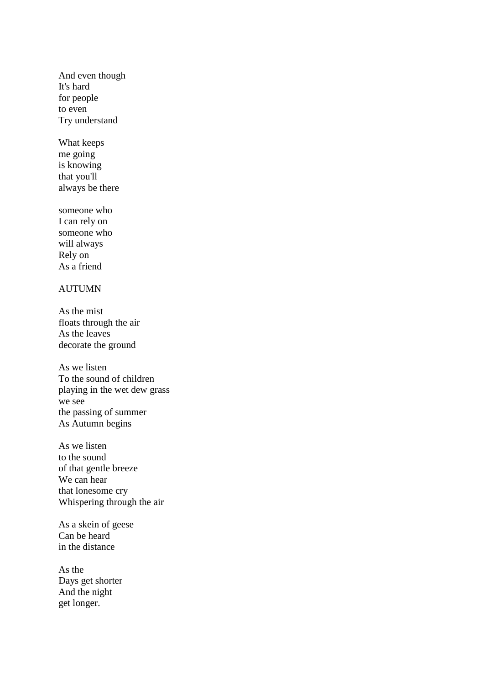And even though It's hard for people to even Try understand

What keeps me going is knowing that you'll always be there

someone who I can rely on someone who will always Rely on As a friend

## AUTUMN

As the mist floats through the air As the leaves decorate the ground

As we listen To the sound of children playing in the wet dew grass we see the passing of summer As Autumn begins

As we listen to the sound of that gentle breeze We can hear that lonesome cry Whispering through the air

As a skein of geese Can be heard in the distance

As the Days get shorter And the night get longer.